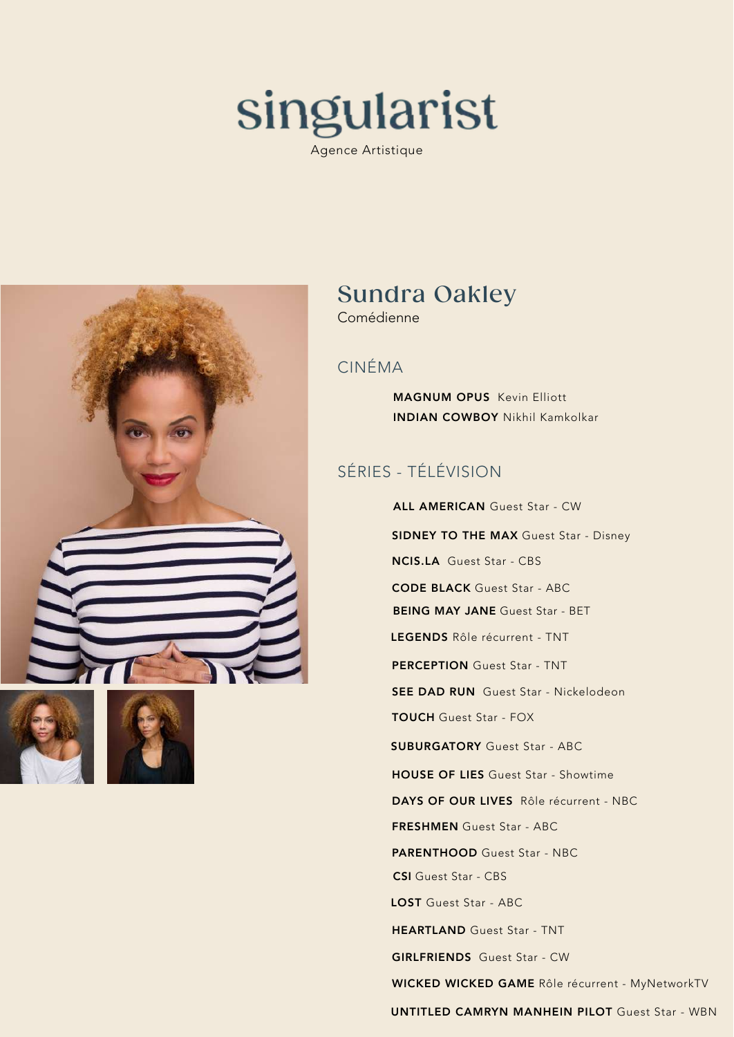

Agence Artistique







# Sundra Oakley

Comédienne

#### CINÉMA

MAGNUM OPUS Kevin Elliott INDIAN COWBOY Nikhil Kamkolkar

### SÉRIES - TÉLÉVISION

 ALL AMERICAN Guest Star - CW **SIDNEY TO THE MAX Guest Star - Disney** NCIS.LA Guest Star - CBS CODE BLACK Guest Star - ABC BEING MAY JANE Guest Star - BET LEGENDS Rôle récurrent - TNT PERCEPTION Guest Star - TNT **SEE DAD RUN** Guest Star - Nickelodeon TOUCH Guest Star - FOX SUBURGATORY Guest Star - ABC HOUSE OF LIES Guest Star - Showtime DAYS OF OUR LIVES Rôle récurrent - NBC FRESHMEN Guest Star - ABC PARENTHOOD Guest Star - NBC CSI Guest Star - CBS LOST Guest Star - ABC HEARTLAND Guest Star - TNT GIRLFRIENDS Guest Star - CW WICKED WICKED GAME Rôle récurrent - MyNetworkTV

UNTITLED CAMRYN MANHEIN PILOT Guest Star - WBN